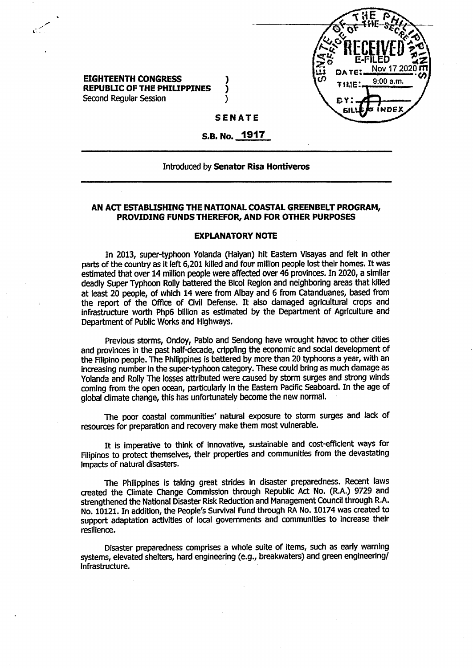

**EIGHTEENTH CONGRESS ) REPUBLIC OF THE PHILIPPINES** ) Second Regular Session (1999)

## **SENATE**

**S.B. No. 1917**

### Introduced by **Senator Risa Hontiveros**

### **AN ACT ESTABLISHING THE NATIONAL COASTAL GREENBELT PROGRAM, PROVIDING FUNDS THEREFOR, AND FOR OTHER PURPOSES**

### **EXPLANATORY NOTE**

In 2013, super-typhoon Yolanda (Haiyan) hit Eastern Visayas and felt In other parts of the country as it left 6,201 killed and four million people lost their homes. It was estimated that over 14 million people were affected over 46 provinces. In 2020, a similar deadly Super Typhoon Roily battered the Bicol Region and neighboring areas that killed at least 20 people, of which 14 were from Albay and 6 from Catanduanes, based from the report of the Office of Civil Defense. It also damaged agricultural crops and infrastructure worth Php6 billion as estimated by the Department of Agriculture and Department of Public Works and Highways.

Previous storms, Ondoy, Pablo and Sendong have wrought havoc to other cities and provinces in the past half-decade, crippling the economic and social development of the Filipino people. The Philippines is battered by more than 20 typhoons a year, with an increasing number in the super-typhoon category. These could bring as much damage as Yolanda and Roily The losses attributed were caused by storm surges and strong winds coming from the open ocean, particularly in the Eastern Pacific Seaboard. In the age of global climate change, this has unfortunately become the new normal.

The poor coastal communities' natural exposure to storm surges and lack of resources for preparation and recovery make them most vulnerable.

It is Imperative to think of innovative, sustainable and cost-efficient ways for Filipinos to protect themselves, their properties and communities from the devastating Impacts of natural disasters.

The Philippines is taking great strides in disaster preparedness. Recent laws created the Climate Change Commission through Republic Act No. (R.A.) 9729 and strengthened the National Disaster Risk Reduction and Management Council through R.A. No. 10121. In addition, the People's Survival Fund through RA No. 10174 was created to support adaptation activities of local governments and communities to increase their resilience.

Disaster preparedness comprises a whole suite of items, such as early warning systems, elevated shelters, hard engineering (e.g., breakwaters) and green engineering/ Infrastructure.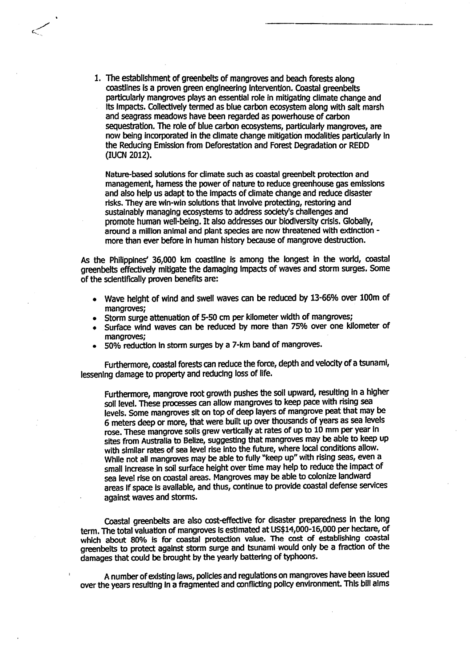1. The establishment of greenbelts of mangroves and beach forests along coastlines Is a proven green engineering Intervention. Coastal greenbelts particularly mangroves plays an essential role in mitigating climate change and its impacts. Collectively termed as blue carbon ecosystem along with salt marsh and seagrass meadows have been regarded as powerhouse of carbon sequestration. The role of blue carbon ecosystems, particularly mangroves, are now being incorporated in the climate change mitigation modalities particularly in the Reducing Emission from Deforestation and Forest Degradation or REDD (lUCN 2012).

Nature-based solutions for climate such as coastal greenbelt protection and management, harness the power of nature to reduce greenhouse gas emissions and also help us adapt to the impacts of climate change and reduce disaster risks. They are win-win solutions that involve protecting, restoring and sustainably managing ecosystems to address society's challenges and promote human well-being. It also addresses our biodiversity crisis. Globally, around a million animal and plant species are now threatened with extinction more than ever before in human history because of mangrove destruction.

As the Philippines' 36,000 km coastline is among the longest in the world, coastal greenbelts effectively mitigate the damaging Impacts of waves and storm surges. Some of the scientifically proven benefits are:

- Wave height of wind and swell waves can be reduced by 13-66% over 100m of mangroves;
- Storm surge attenuation of 5-50 cm per kilometer width of mangroves;
- Surface wind waves can be reduced by more than 75% over one kilometer of mangroves;
- 50% reduction In storm surges by a 7-km band of mangroves.

Furthermore, coastal forests can reduce the force, depth and velocity of a tsunami, lessening damage to property and reducing loss of life.

Furthermore, mangrove root growth pushes the soil upward, resulting in a higher soil level. These processes can allow mangroves to keep pace with rising sea levels. Some mangroves sit on top of deep layers of mangrove peat that may be 6 meters deep or more, that were built up over thousands of years as sea levels rose. These mangrove soils grew vertically at rates of up to 10 mm per year in sites from Australia to Belize, suggesting that mangroves may be able to keep up with similar rates of sea level rise into the future, where local conditions allow. While not all mangroves may be able to fully "keep up" with rising seas, even a small increase in soil surface height over time may help to reduce the impact of sea level rise on coastal areas. Mangroves may be able to colonize landward areas if space is available, and thus, continue to provide coastal defense services against waves and storms.

Coastal greenbelts are also cost-effective for disaster preparedness in the long term. The total valuation of mangroves is estimated at US\$14,000-16,000 per hectare, of which about 80% is for coastal protection value. The cost of establishing coastal greenbelts to protect against storm surge and tsunami would only be a fraction of the damages that could be brought by the yearly battering of typhoons.

A number of existing laws, policies and regulations on mangroves have been issued over the years resulting In a fragmented and conflicting policy environment. This bill alms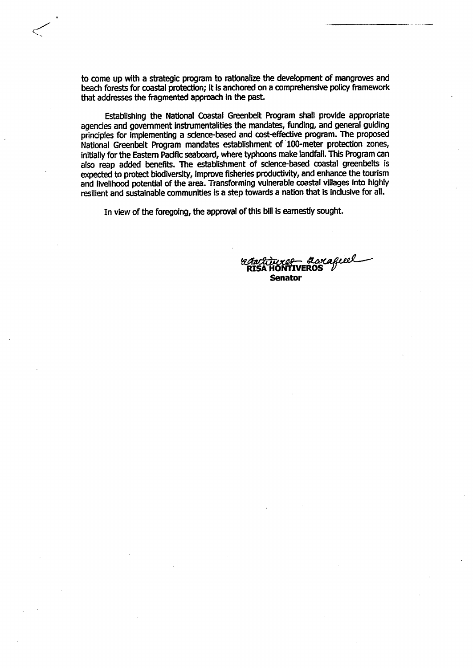to come up with a strategic program to rationalize the development of mangroves and beach forests for coastal protection; It is anchored on a comprehensive policy framework that addresses the fragmented approach in the past

Establishing the National Coastal Greenbelt Program shall provide appropriate agencies and government instrumentalities the mandates, funding, and general guiding principles for Implementing a science-based and cost-effective program. The proposed National Greenbelt Program mandates establishment of 100-meter protection zones, initially for the Eastern Pacific seaboard, where typhoons make landfall. This Program can also reap added benefits. The establishment of science-based coastal greenbelts is expected to protect biodiversity. Improve fisheries productivity, and enhance the tourism and livelihood potential of the area. Transforming vulnerable coastal villages Into highly resilient and sustainable communities is a step towards a nation that is inclusive for all.

In view of the foregoing, the approval of this bill is earnestly sought.

**RISAHONTIVEROS Senator**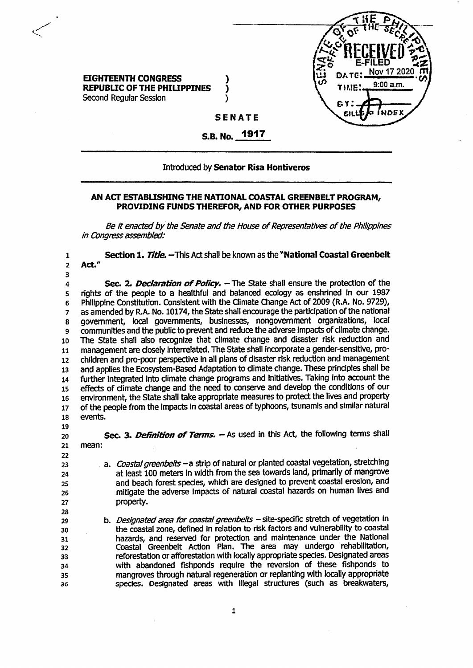

## **EIGHTEENTH CONGRESS } REPUBLIC OF THE PHILIPPINES** ) Second Regular Session )

**SENATE**

#### **1917 S.B. No.**

# Introduced by **Senator Risa Hontiveros**

## **AN ACT ESTABLISHING THE NATIONAL COASTAL GREENBELT PROGRAM, PROVIDING FUNDS THEREFOR, AND FOR OTHER PURPOSES**

*Be it* enacted by the Senate and the House of Representatives of the Philippines *in Congress assembled:*

**1 2 3 4 5 6 7 8 9 10 11 12 13 14 15 16 17 18 19 20 21 22 23 24 25 26 27 28 29 30 31 32 33 34 35 36 Section 1.** *Tide.* -TTiis Act shall be known as the **"National Coastal Greenbelt Act" Sec.** 2. *Declaration of Policy.* - The State shall ensure the protection of the rights of the people to a healthful and balanced ecology as enshrined in our 1987 Philippine Constitution. Consistent with the Climate Change Act of 2009 (R.A, No. 9729), as amended by R.A. No. 10174, the State shall encourage the participation of the national government, local governments, businesses, nongovernment organizations, local communities and the public to prevent and reduce the adverse impacts of climate change. The State shall also recognize that climate change and disaster risk reduction and management are closely interrelated. The State shall Incorporate a gender-sensitive, prochildren and pro-poor perspective in all plans of disaster risk reduction and management and applies the Ecosystem-Based Adaptation to climate change. These principles shall be further integrated into climate change programs and initiatives. Taking into account the effects of climate change and the need to conserve and develop the conditions of our environment, the State shall take appropriate measures to protect the lives and property of the people from the impacts in coastal areas of typhoons, tsunamis and similar natural events. **Sec.** 3. *Definition of Terms.* -As used in this Act, the following terms shall mean: a. *Coastalgneenbeits-a* strip of natural or planted coastal vegetation, stretching at least 100 meters in width from the sea towards land, primarily of mangrove and beach forest species, which are designed to prevent coastal erosion, and mitigate the adverse impacts of natural coastal hazards on human lives and property. b. *Designated area for coastal greenbeits* - site-specific stretch of vegetation in the coastal zone, defined in relation to risk factors and vulnerability to coastal hazards, and reserved for protection and maintenance under the National Coastal Greenbelt Action Plan. The area may undergo rehabilitation, reforestation or afforestation with locally appropriate species. Designated areas with abandoned fishponds require the reversion of these fishponds to mangroves through natural regeneration or replanting with locally appropriate species. Designated areas with illegal structures (such as breakwaters,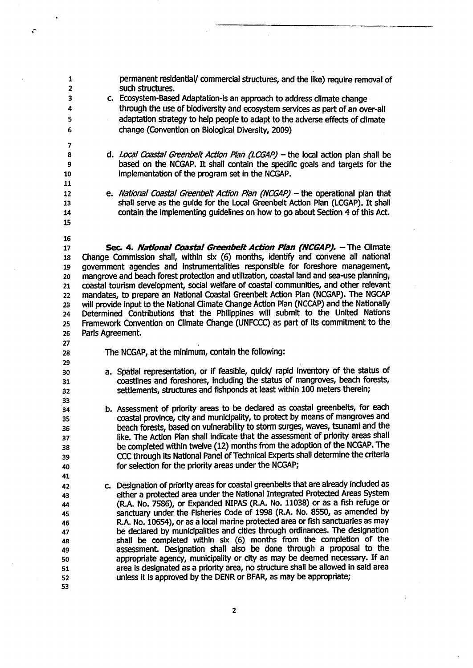$\tilde{\mathbf{v}}$ 

permanent residential/ commercial structures, and the like) require removal of such structures.

- c. Ecosystem-Based Adaptation-is an approach to address climate change through the use of biodiversity and ecosystem services as part of an over-all adaptation strategy to help people to adapt to the adverse effects of climate change (Convention on Biological Diversity, 2009)
- d. *Local Coastal Greenbdt Action Plan (LCGAP)* -the local action plan shall be based on the NCGAP. It shall contain the specific goals and targets for the implementation of the program set in the NCGAP.
- e. *National Coastal Greenbe/t Action Plan (NCGAP)* -the operational plan that shall serve as the guide for the Local Greenbelt Action Plan (LCGAP). It shall contain the implementing guidelines on how to go about Section 4 of this Act.
- **17 18 19 20 21 22 23 24 25 26 Sec.** 4. *National Coastal GreenbeitAction Plan (NCGAP).* -The Climate Change Commission shall, within six (6) months, identify and convene all national government agencies and instrumentalities responsible for foreshore management, mangrove and beach forest protection and utilization, coastal land and sea-use planning, coastal tourism development, social welfare of coastal communities, and other relevant mandates, to prepare an National Coastal Greenbelt Action Plan (NCGAP). The NGCAP will provide input to the National Qimate Change Action Plan (NCCAP) and the Nationally Determined Contributions that the Philippines will submit to the United Nations Framework Convention on Climate Change (UNFCCC) as part of its commitment to the Paris Agreement.
- **27 28**

- The NCGAP, at the minimum, contain the following:
- a. Spatial representation, or if feasible, quick/ rapid inventory of the status of coastlines and foreshores, including the status of mangroves, beach forests, settlements, structures and fishponds at least within 100 meters therein;
- b. Assessment of priority areas to be declared as coastal greenbelts, for each coastal province, city and municipality, to protect by means of mangroves and beach forests, based on vulnerability to storm surges, waves, tsunami and the like. The Action Plan shall indicate that the assessment of priority areas shall be completed within twelve (12) months from the adoption of the NCGAP. The CCC through its National Panel of Technical Experts shall determine the criteria for selection for the priority areas under the NCGAP;
- c. Designation of priority areas for coastal greenbelts that are already included as either a protected area under the National Integrated Protected Areas System (R.A. No. 7586), or Expanded NIPAS (R.A. No. 11038) or as a fish refuge or sanctuary under the Fisheries Code of 1998 (R.A. No. 8550, as amended by R.A. No. 10654), or as a iocal marine protected area or fish sanctuaries as may be declared by municipalities and cities through ordinances. The designation shall be completed within six (6) months from the completion of the assessment. Designation shall also be done through a proposal to the appropriate agency, municipality or city as may be deemed necessary. If an area Is designated as a priority area, no structure shall be allowed in said area unless it Is approved by the DENR or BFAR, as may be appropriate;
	- $\overline{\mathbf{2}}$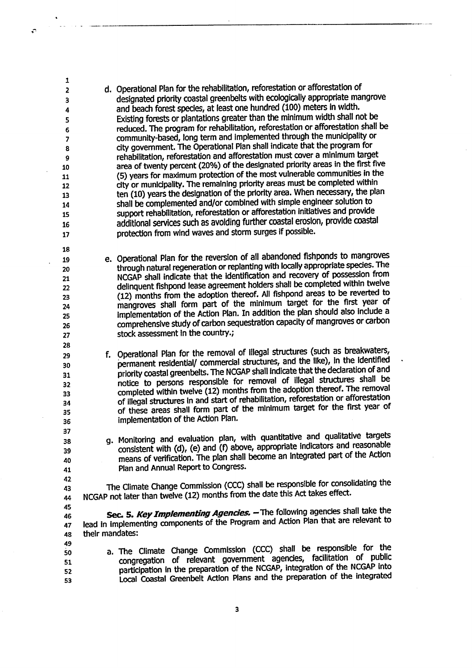d. Operational Plan for the rehabilitation, reforestation or afforestation of designated priority coastal greenbelts with ecologicaliy appropriate mangrove and beach forest species, at least one hundred (100) meters in width. Existing forests or plantations greater than the minimum width shall not be reduced. The program for rehabilitation, reforestation or afforestation shall be community-based, long term and implemented through the municipality or city government. The Operational Plan shall indicate that the program for rehabilitation, reforestation and afforestation must cover a minimum target area of twenty percent (20%) of the designated priority areas in the first five (5) years for maximum protection of the most vulnerable communities in the city or municipality. The remaining priority areas must be completed within ten (10) years the designation of the priority area. When necessary, the plan shall be complemented and/or combined with simple engineer solution to support rehabilitation, reforestation or afforestation initiatives and provide additional services such as avoiding further coastal erosion, provide coastal protection from wind waves and storm surges if possible.

e. Operational Plan for the reversion of all abandoned fishponds to mangroves through natural regeneration or replanting with locally appropriate species. The NCGAP shall indicate that the identification and recovery of possession from delinquent fishpond lease agreement holders shall be completed within twelve (12) months from the adoption thereof. All fishpond areas to be reverted to mangroves shall form part of the minimum target for the first year of implementation of the Action Plan. In addition the plan should also include a comprehensive study of carbon sequestration capacity of mangroves or carbon stock assessment in the country.;

f. Operational Plan for the removal of Illegal structures (such as breakwaters, permanent residential/ commercial structures, and the like), in the identified priority coastal greenbelts. The NCGAP shall indicate that the declaration of and notice to persons responsible for removal of illegal structures shall be completed within twelve (12) months from the adoption thereof. The removal of illegal structures in and start of rehabilitation, reforestation or afforestation of these areas shall form part of the minimum target for the first year of implementation of the Action Plan.

q. Monitoring and evaluation plan, with quantitative and qualitative targets consistent with (d), (e) and (f) above, appropriate indicators and reasonable means of verification. The plan shall become an Integrated part of the Action Plan and Annual Report to Congress.

The Climate Change Commission (CCC) shall be responsible for consolidating the NCGAP not later than twelve (12) months from the date this Act takes effect.

**45 46 47 48** Sec. 5. *Key Implementing Agencies.* - The following agencies shall take the lead in Implementing components of the Program and Action Plan that are relevant to their mandates:

- a. The Climate Change Commission (CCC) shall be responsible for the congregation of relevant government agencies, facilitation of public participation in the preparation of the NCGAP, Integration of the NCGAP into Local Coastal Greenbelt Action Plans and the preparation of the integrated
	- 3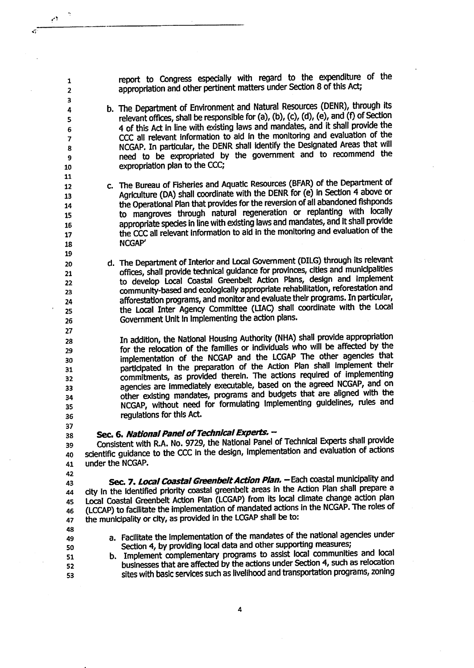report to Congress especially with regard to the expenditure of the appropriation and other pertinent matters under Section 8 of this Act;

- b. The Department of Environment and Natural Resources (DENR), through its relevant offices, shall be responsible for (a), (b), (c), (d), (e), and (f) of Section 4 of this Act in line with existing laws and mandates, and it shall provide the CCC all relevant information to aid in the monitoring and evaluation of the NCGAP. In particular, the DENR shall identify the Designated Areas that will need to be expropriated by the government and to recommend the expropriation plan to the CCC;
- c. The Bureau of Fisheries and Aquatic Resources (BFAR) of the Department of Agriculture (DA) shall coordinate with the DENR for (e) In Section 4 above or the Operational Plan that provides for the reversion of all abandoned fishponds to mangroves through natural regeneration or replanting with locally appropriate species in line with existing laws and mandates, and It shall provide the CCC all relevant information to aid in the monitoring and evaluation of the NCGAP'
- d. The Department of Interior and Local Government (DILG) through its relevant offices, shall provide technical guidance for provinces, cities and municipalities to develop Local Coastal Greenbelt Action Plans, design and Implement community-based and ecologically appropriate rehabilitation, reforestation and afforestation programs, and monitor and evaluate their programs. In particular, the Local Inter Agency Committee (LIAQ shall coordinate with the Local Government Unit in implementing the action plans.

In addition, the National Housing Authority (NHA) shall provide appropriation for die relocation of the families or individuals who will be affected by the implementation of the NCGAP and the LCGAP The other agencies that participated in the preparation of the Action Plan shall implement their commitments, as provided therein. The actions required of implementing agencies are Immediately executable, based on the agreed NCGAP, and on other existing mandates, programs and budgets that are aligned with the NCGAP, without need for formulating Implementing guidelines, rules and regulations for this Act.

**36 37**

ڊر

Sec. 6. *National Panel of Technical Experts.* -

**38 39** Consistent with R.A. No. 9729, the National Panel of Technical Experts shall provide 40 scientific guidance to the CCC in the design, implementation and evaluation of actions 41 under the NCGAP.

**42**

Sec. 7. Local Coastal Greenbelt Action Plan. - Each coastal municipality and dty in the identified priority coastal greenbelt areas in the Action Plan shall prepare a Local Coastal Greenbelt Action Plan (LCGAP) from its local climate change action plari (LCCAP) to facilitate the Implementation of mandated actions in the NCGAP. The roles of the municipality or city, as provided in the LCGAP shall be to: **43 44 45 46 47**

- **48 49**
- a. Facilitate the implementation of the mandates of the national agencies under Section 4, by providing local data and other supporting measures;
- **50 51**
- **52 53**

b. Implement complementary programs to assist local communities and local businesses that are affected by the actions under Section 4, such as relocation sites with basic services such as livelihood and transportation programs, zoning

Δ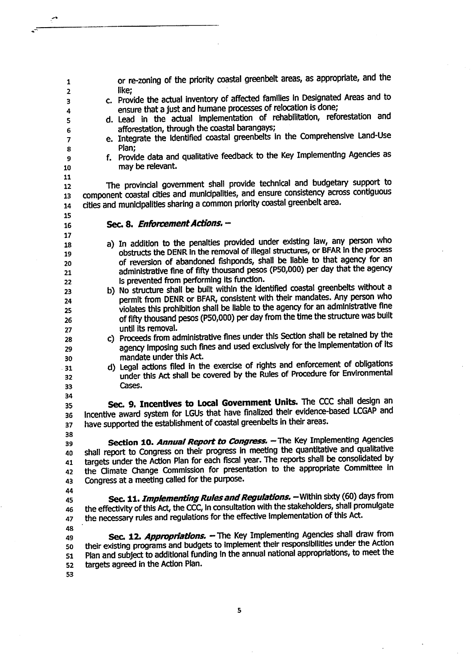| 1              | or re-zoning of the priority coastal greenbelt areas, as appropriate, and the                                                                                  |
|----------------|----------------------------------------------------------------------------------------------------------------------------------------------------------------|
| $\overline{2}$ | like;                                                                                                                                                          |
| 3              | c. Provide the actual inventory of affected families in Designated Areas and to                                                                                |
| 4              | ensure that a just and humane processes of relocation is done;<br>d. Lead in the actual implementation of rehabilitation, reforestation and                    |
| 5              | afforestation, through the coastal barangays;                                                                                                                  |
| 6              | e. Integrate the identified coastal greenbelts in the Comprehensive Land-Use                                                                                   |
| $\overline{7}$ | Plan:                                                                                                                                                          |
| 8<br>9         | f. Provide data and qualitative feedback to the Key Implementing Agencies as                                                                                   |
| 10             | may be relevant.                                                                                                                                               |
| 11             |                                                                                                                                                                |
| 12             | The provincial government shall provide technical and budgetary support to                                                                                     |
| 13             | component coastal cities and municipalities, and ensure consistency across contiguous                                                                          |
| 14             | cities and municipalities sharing a common priority coastal greenbelt area.                                                                                    |
| 15             |                                                                                                                                                                |
| 16             | Sec. 8. Enforcement Actions. -                                                                                                                                 |
| 17             |                                                                                                                                                                |
| 18             | a) In addition to the penalties provided under existing law, any person who<br>obstructs the DENR in the removal of illegal structures, or BFAR in the process |
| 19             | of reversion of abandoned fishponds, shall be liable to that agency for an                                                                                     |
| 20<br>21       | administrative fine of fifty thousand pesos (P50,000) per day that the agency                                                                                  |
| 22             | is prevented from performing its function.                                                                                                                     |
| 23             | b) No structure shall be built within the identified coastal greenbelts without a                                                                              |
| 24             | permit from DENR or BFAR, consistent with their mandates. Any person who                                                                                       |
| 25             | violates this prohibition shall be liable to the agency for an administrative fine                                                                             |
| 26             | of fifty thousand pesos (P50,000) per day from the time the structure was built                                                                                |
| 27             | until its removal.                                                                                                                                             |
| 28             | c) Proceeds from administrative fines under this Section shall be retained by the                                                                              |
| 29             | agency imposing such fines and used exclusively for the implementation of its                                                                                  |
| 30             | mandate under this Act.<br>d) Legal actions filed in the exercise of rights and enforcement of obligations                                                     |
| 31             | under this Act shall be covered by the Rules of Procedure for Environmental                                                                                    |
| 32<br>33       | Cases.                                                                                                                                                         |
| 34             |                                                                                                                                                                |
| 35             | Sec. 9. Incentives to Local Government Units. The CCC shall design an                                                                                          |
| 36             | Incentive award system for LGUs that have finalized their evidence-based LCGAP and                                                                             |
| 37             | have supported the establishment of coastal greenbelts in their areas.                                                                                         |
| 38             |                                                                                                                                                                |
| 39             | Section 10. Annual Report to Congress. - The Key Implementing Agencies                                                                                         |
| 40             | shall report to Congress on their progress in meeting the quantitative and qualitative                                                                         |
| 41             | targets under the Action Plan for each fiscal year. The reports shall be consolidated by                                                                       |
| 42             | the Climate Change Commission for presentation to the appropriate Committee in                                                                                 |
| 43             | Congress at a meeting called for the purpose.                                                                                                                  |
| 44<br>45       | Sec. 11. <i>Implementing Rules and Regulations.</i> - Within sixty (60) days from                                                                              |
| 46             | the effectivity of this Act, the CCC, in consultation with the stakeholders, shall promulgate                                                                  |
| 47             | the necessary rules and regulations for the effective implementation of this Act.                                                                              |
| 48             |                                                                                                                                                                |
| 49             | Sec. 12. Appropriations. - The Key Implementing Agencies shall draw from                                                                                       |
| 50             | their existing programs and budgets to implement their responsibilities under the Action                                                                       |
| 51             | Plan and subject to additional funding in the annual national appropriations, to meet the                                                                      |
| 52             | targets agreed in the Action Plan.                                                                                                                             |
| 53             |                                                                                                                                                                |
|                |                                                                                                                                                                |
|                |                                                                                                                                                                |
|                |                                                                                                                                                                |

 $\overline{\mathbf{5}}$